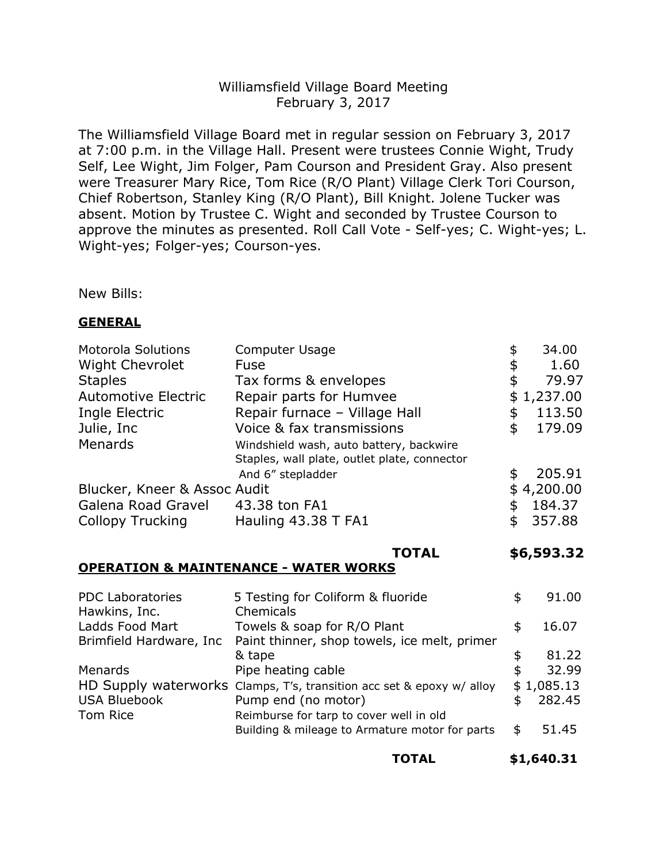# Williamsfield Village Board Meeting February 3, 2017

The Williamsfield Village Board met in regular session on February 3, 2017 at 7:00 p.m. in the Village Hall. Present were trustees Connie Wight, Trudy Self, Lee Wight, Jim Folger, Pam Courson and President Gray. Also present were Treasurer Mary Rice, Tom Rice (R/O Plant) Village Clerk Tori Courson, Chief Robertson, Stanley King (R/O Plant), Bill Knight. Jolene Tucker was absent. Motion by Trustee C. Wight and seconded by Trustee Courson to approve the minutes as presented. Roll Call Vote - Self-yes; C. Wight-yes; L. Wight-yes; Folger-yes; Courson-yes.

New Bills:

#### **GENERAL**

| <b>Motorola Solutions</b>                        | <b>Computer Usage</b>                                                                                        | \$ | 34.00      |  |
|--------------------------------------------------|--------------------------------------------------------------------------------------------------------------|----|------------|--|
| <b>Wight Chevrolet</b>                           | Fuse                                                                                                         | \$ | 1.60       |  |
| <b>Staples</b>                                   | Tax forms & envelopes                                                                                        | \$ | 79.97      |  |
| <b>Automotive Electric</b>                       | Repair parts for Humvee                                                                                      | \$ | 1,237.00   |  |
| Ingle Electric                                   | Repair furnace - Village Hall                                                                                | \$ | 113.50     |  |
| Julie, Inc                                       | Voice & fax transmissions                                                                                    | \$ | 179.09     |  |
| Menards                                          | Windshield wash, auto battery, backwire<br>Staples, wall plate, outlet plate, connector<br>And 6" stepladder | \$ | 205.91     |  |
| Blucker, Kneer & Assoc Audit                     |                                                                                                              |    | \$4,200.00 |  |
| Galena Road Gravel                               | 43.38 ton FA1                                                                                                | \$ | 184.37     |  |
| <b>Collopy Trucking</b>                          | Hauling 43.38 T FA1                                                                                          | \$ | 357.88     |  |
|                                                  | <b>TOTAL</b>                                                                                                 |    | \$6,593.32 |  |
| <b>OPERATION &amp; MAINTENANCE - WATER WORKS</b> |                                                                                                              |    |            |  |
| <b>PDC Laboratories</b><br>Hawkins, Inc.         | 5 Testing for Coliform & fluoride<br>Chemicals                                                               | \$ | 91.00      |  |
|                                                  |                                                                                                              |    |            |  |

| $110$ WNIII. $110.$     | <b>CITELITICAIS</b>                                                   |    |            |
|-------------------------|-----------------------------------------------------------------------|----|------------|
| Ladds Food Mart         | Towels & soap for R/O Plant                                           |    | 16.07      |
| Brimfield Hardware, Inc | Paint thinner, shop towels, ice melt, primer                          |    |            |
|                         | & tape                                                                | S  | 81.22      |
| Menards                 | Pipe heating cable                                                    | \$ | 32.99      |
|                         | HD Supply waterworks Clamps, T's, transition acc set & epoxy w/ alloy |    | \$1,085.13 |
| <b>USA Bluebook</b>     | Pump end (no motor)                                                   |    | 282.45     |
| Tom Rice                | Reimburse for tarp to cover well in old                               |    |            |
|                         | Building & mileage to Armature motor for parts                        | \$ | 51.45      |
|                         |                                                                       |    |            |

**TOTAL \$1,640.31**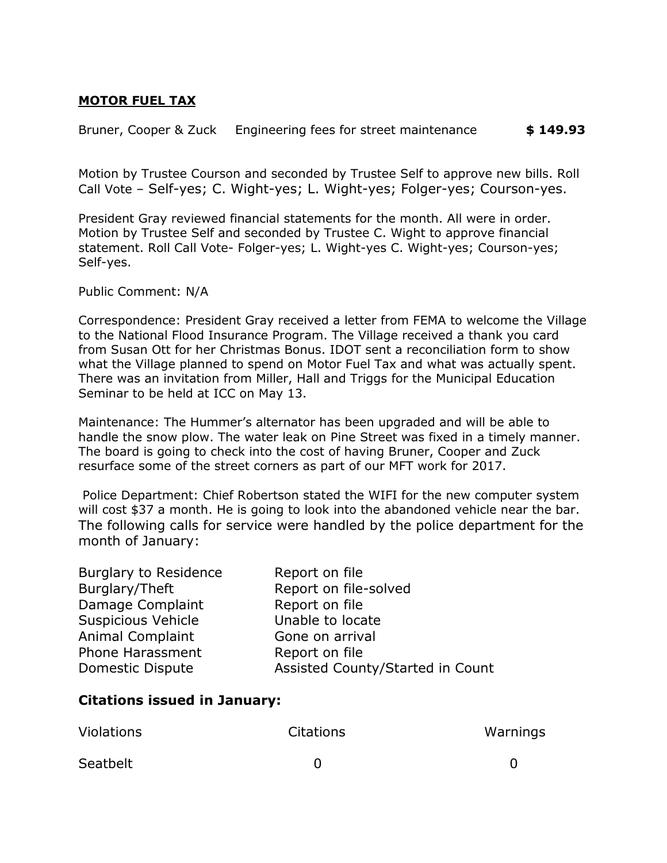### **MOTOR FUEL TAX**

Bruner, Cooper & Zuck Engineering fees for street maintenance **\$ 149.93**

Motion by Trustee Courson and seconded by Trustee Self to approve new bills. Roll Call Vote – Self-yes; C. Wight-yes; L. Wight-yes; Folger-yes; Courson-yes.

President Gray reviewed financial statements for the month. All were in order. Motion by Trustee Self and seconded by Trustee C. Wight to approve financial statement. Roll Call Vote- Folger-yes; L. Wight-yes C. Wight-yes; Courson-yes; Self-yes.

Public Comment: N/A

Correspondence: President Gray received a letter from FEMA to welcome the Village to the National Flood Insurance Program. The Village received a thank you card from Susan Ott for her Christmas Bonus. IDOT sent a reconciliation form to show what the Village planned to spend on Motor Fuel Tax and what was actually spent. There was an invitation from Miller, Hall and Triggs for the Municipal Education Seminar to be held at ICC on May 13.

Maintenance: The Hummer's alternator has been upgraded and will be able to handle the snow plow. The water leak on Pine Street was fixed in a timely manner. The board is going to check into the cost of having Bruner, Cooper and Zuck resurface some of the street corners as part of our MFT work for 2017.

Police Department: Chief Robertson stated the WIFI for the new computer system will cost \$37 a month. He is going to look into the abandoned vehicle near the bar. The following calls for service were handled by the police department for the month of January:

| <b>Burglary to Residence</b> | Report on file                   |
|------------------------------|----------------------------------|
| Burglary/Theft               | Report on file-solved            |
| Damage Complaint             | Report on file                   |
| <b>Suspicious Vehicle</b>    | Unable to locate                 |
| <b>Animal Complaint</b>      | Gone on arrival                  |
| Phone Harassment             | Report on file                   |
| <b>Domestic Dispute</b>      | Assisted County/Started in Count |

# **Citations issued in January:**

| <b>Violations</b> | <b>Citations</b> | Warnings |
|-------------------|------------------|----------|
| Seatbelt          |                  |          |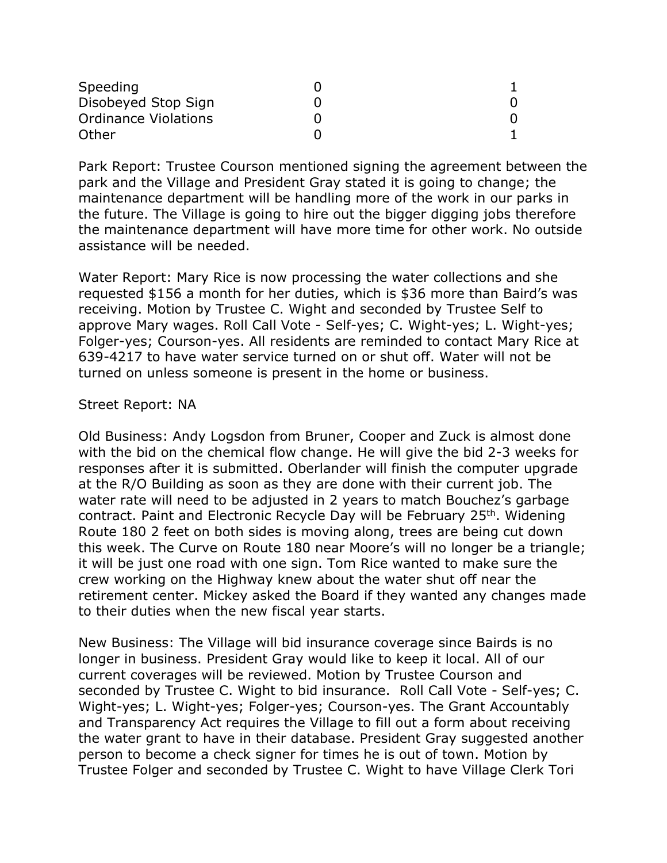| Speeding                    |  |
|-----------------------------|--|
| Disobeyed Stop Sign         |  |
| <b>Ordinance Violations</b> |  |
| Other                       |  |

Park Report: Trustee Courson mentioned signing the agreement between the park and the Village and President Gray stated it is going to change; the maintenance department will be handling more of the work in our parks in the future. The Village is going to hire out the bigger digging jobs therefore the maintenance department will have more time for other work. No outside assistance will be needed.

Water Report: Mary Rice is now processing the water collections and she requested \$156 a month for her duties, which is \$36 more than Baird's was receiving. Motion by Trustee C. Wight and seconded by Trustee Self to approve Mary wages. Roll Call Vote - Self-yes; C. Wight-yes; L. Wight-yes; Folger-yes; Courson-yes. All residents are reminded to contact Mary Rice at 639-4217 to have water service turned on or shut off. Water will not be turned on unless someone is present in the home or business.

### Street Report: NA

Old Business: Andy Logsdon from Bruner, Cooper and Zuck is almost done with the bid on the chemical flow change. He will give the bid 2-3 weeks for responses after it is submitted. Oberlander will finish the computer upgrade at the R/O Building as soon as they are done with their current job. The water rate will need to be adjusted in 2 years to match Bouchez's garbage contract. Paint and Electronic Recycle Day will be February 25<sup>th</sup>. Widening Route 180 2 feet on both sides is moving along, trees are being cut down this week. The Curve on Route 180 near Moore's will no longer be a triangle; it will be just one road with one sign. Tom Rice wanted to make sure the crew working on the Highway knew about the water shut off near the retirement center. Mickey asked the Board if they wanted any changes made to their duties when the new fiscal year starts.

New Business: The Village will bid insurance coverage since Bairds is no longer in business. President Gray would like to keep it local. All of our current coverages will be reviewed. Motion by Trustee Courson and seconded by Trustee C. Wight to bid insurance. Roll Call Vote - Self-yes; C. Wight-yes; L. Wight-yes; Folger-yes; Courson-yes. The Grant Accountably and Transparency Act requires the Village to fill out a form about receiving the water grant to have in their database. President Gray suggested another person to become a check signer for times he is out of town. Motion by Trustee Folger and seconded by Trustee C. Wight to have Village Clerk Tori